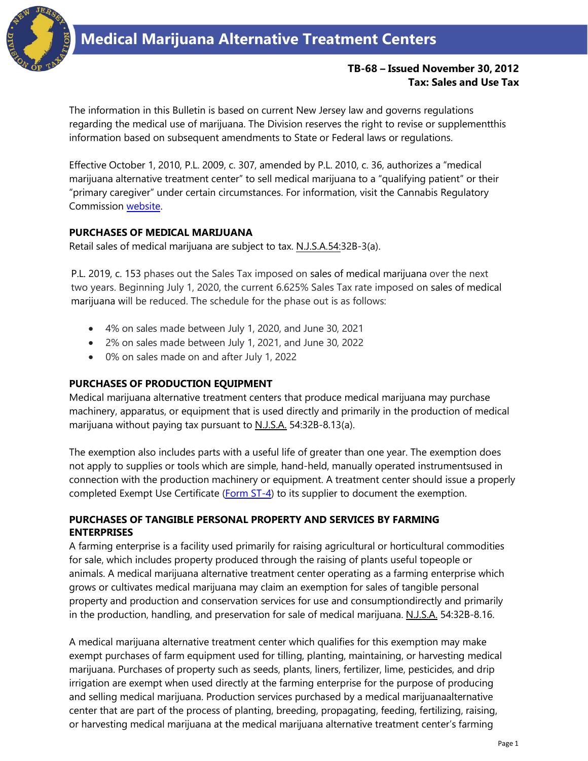

# **TB-68 – Issued November 30, 2012 Tax: Sales and Use Tax**

The information in this Bulletin is based on current New Jersey law and governs regulations regarding the medical use of marijuana. The Division reserves the right to revise or supplementthis information based on subsequent amendments to State or Federal laws or regulations.

Effective October 1, 2010, P.L. 2009, c. 307, amended by P.L. 2010, c. 36, authorizes a "medical marijuana alternative treatment center" to sell medical marijuana to a "qualifying patient" or their "primary caregiver" under certain circumstances. For information, visit the Cannabis Regulatory Commission [website.](https://www.state.nj.us/cgi-bin/treasury/revenue/dcr/reg/sos_dcrnew01_page1.cgi)

## **PURCHASES OF MEDICAL MARIJUANA**

Retail sales of medical marijuana are subject to tax. N.J.S.A.54:32B-3(a).

P.L. 2019, c. 153 phases out the Sales Tax imposed on sales of medical marijuana over the next two years. Beginning July 1, 2020, the current 6.625% Sales Tax rate imposed on sales of medical marijuana will be reduced. The schedule for the phase out is as follows:

- 4% on sales made between July 1, 2020, and June 30, 2021
- 2% on sales made between July 1, 2021, and June 30, 2022
- 0% on sales made on and after July 1, 2022

#### **PURCHASES OF PRODUCTION EQUIPMENT**

Medical marijuana alternative treatment centers that produce medical marijuana may purchase machinery, apparatus, or equipment that is used directly and primarily in the production of medical marijuana without paying tax pursuant to N.J.S.A. 54:32B-8.13(a).

The exemption also includes parts with a useful life of greater than one year. The exemption does not apply to supplies or tools which are simple, hand-held, manually operated instrumentsused in connection with the production machinery or equipment. A treatment center should issue a properly completed Exempt Use Certificate [\(Form ST-4\)](https://www.state.nj.us/treasury/taxation/pdf/other_forms/sales/st4.pdf) to its supplier to document the exemption.

## **PURCHASES OF TANGIBLE PERSONAL PROPERTY AND SERVICES BY FARMING ENTERPRISES**

A farming enterprise is a facility used primarily for raising agricultural or horticultural commodities for sale, which includes property produced through the raising of plants useful topeople or animals. A medical marijuana alternative treatment center operating as a farming enterprise which grows or cultivates medical marijuana may claim an exemption for sales of tangible personal property and production and conservation services for use and consumptiondirectly and primarily in the production, handling, and preservation for sale of medical marijuana. N.J.S.A. 54:32B-8.16.

A medical marijuana alternative treatment center which qualifies for this exemption may make exempt purchases of farm equipment used for tilling, planting, maintaining, or harvesting medical marijuana. Purchases of property such as seeds, plants, liners, fertilizer, lime, pesticides, and drip irrigation are exempt when used directly at the farming enterprise for the purpose of producing and selling medical marijuana. Production services purchased by a medical marijuanaalternative center that are part of the process of planting, breeding, propagating, feeding, fertilizing, raising, or harvesting medical marijuana at the medical marijuana alternative treatment center's farming